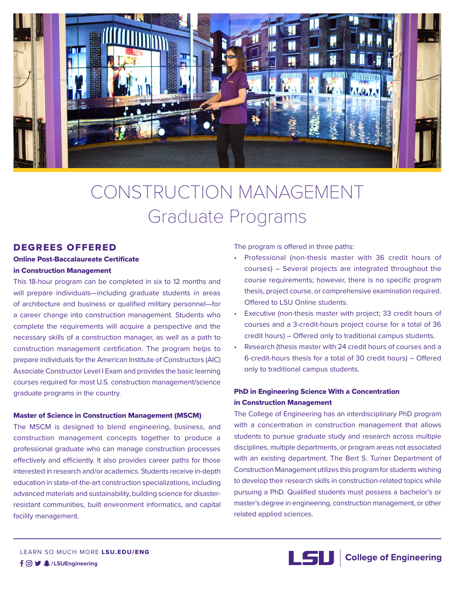

# CONSTRUCTION MANAGEMENT Graduate Programs

# DEGREES OFFERED

## Online Post-Baccalaureate Certificate in Construction Management

This 18-hour program can be completed in six to 12 months and will prepare individuals—including graduate students in areas of architecture and business or qualified military personnel—for a career change into construction management. Students who complete the requirements will acquire a perspective and the necessary skills of a construction manager, as well as a path to construction management certification. The program helps to prepare individuals for the American Institute of Constructors (AIC) Associate Constructor Level I Exam and provides the basic learning courses required for most U.S. construction management/science graduate programs in the country.

#### Master of Science in Construction Management (MSCM)

The MSCM is designed to blend engineering, business, and construction management concepts together to produce a professional graduate who can manage construction processes effectively and efficiently. It also provides career paths for those interested in research and/or academics. Students receive in-depth education in state-of-the-art construction specializations, including advanced materials and sustainability, building science for disasterresistant communities, built environment informatics, and capital facility management.

The program is offered in three paths:

- Professional (non-thesis master with 36 credit hours of courses) – Several projects are integrated throughout the course requirements; however, there is no specific program thesis, project course, or comprehensive examination required. Offered to LSU Online students.
- Executive (non-thesis master with project; 33 credit hours of courses and a 3-credit-hours project course for a total of 36 credit hours) – Offered only to traditional campus students.
- Research (thesis master with 24 credit hours of courses and a 6-credit-hours thesis for a total of 30 credit hours) – Offered only to traditional campus students.

# PhD in Engineering Science With a Concentration in Construction Management

The College of Engineering has an interdisciplinary PhD program with a concentration in construction management that allows students to pursue graduate study and research across multiple disciplines, multiple departments, or program areas not associated with an existing department. The Bert S. Turner Department of Construction Management utilizes this program for students wishing to develop their research skills in construction-related topics while pursuing a PhD. Qualified students must possess a bachelor's or master's degree in engineering, construction management, or other related applied sciences.